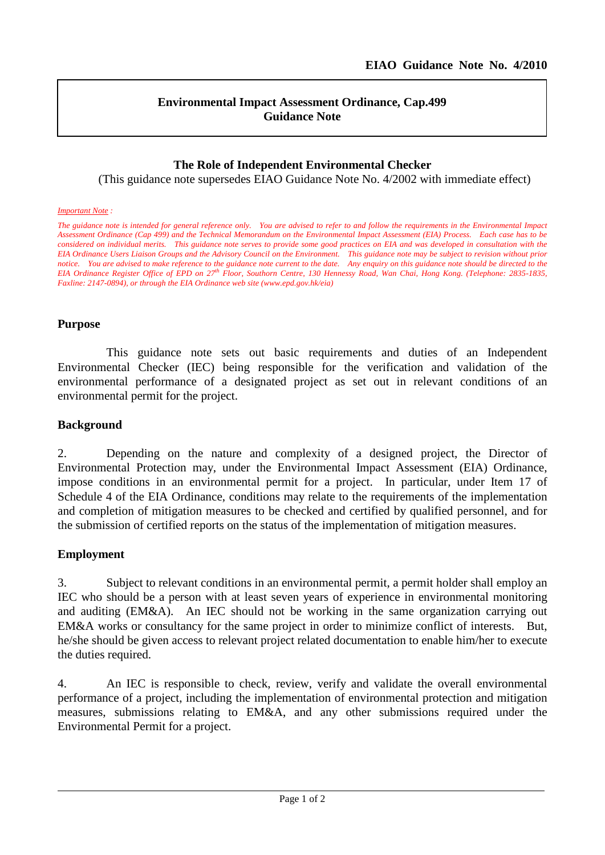l

## **Environmental Impact Assessment Ordinance, Cap.499 Guidance Note**

# **The Role of Independent Environmental Checker**

(This guidance note supersedes EIAO Guidance Note No. 4/2002 with immediate effect)

#### *Important Note :*

*The guidance note is intended for general reference only. You are advised to refer to and follow the requirements in the Environmental Impact Assessment Ordinance (Cap 499) and the Technical Memorandum on the Environmental Impact Assessment (EIA) Process. Each case has to be considered on individual merits. This guidance note serves to provide some good practices on EIA and was developed in consultation with the EIA Ordinance Users Liaison Groups and the Advisory Council on the Environment. This guidance note may be subject to revision without prior notice. You are advised to make reference to the guidance note current to the date. Any enquiry on this guidance note should be directed to the EIA Ordinance Register Office of EPD on 27th Floor, Southorn Centre, 130 Hennessy Road, Wan Chai, Hong Kong. (Telephone: 2835-1835, Faxline: 2147-0894), or through the EIA Ordinance web site (www.epd.gov.hk/eia)*

### **Purpose**

This guidance note sets out basic requirements and duties of an Independent Environmental Checker (IEC) being responsible for the verification and validation of the environmental performance of a designated project as set out in relevant conditions of an environmental permit for the project.

#### **Background**

2. Depending on the nature and complexity of a designed project, the Director of Environmental Protection may, under the Environmental Impact Assessment (EIA) Ordinance, impose conditions in an environmental permit for a project. In particular, under Item 17 of Schedule 4 of the EIA Ordinance, conditions may relate to the requirements of the implementation and completion of mitigation measures to be checked and certified by qualified personnel, and for the submission of certified reports on the status of the implementation of mitigation measures.

### **Employment**

3. Subject to relevant conditions in an environmental permit, a permit holder shall employ an IEC who should be a person with at least seven years of experience in environmental monitoring and auditing (EM&A). An IEC should not be working in the same organization carrying out EM&A works or consultancy for the same project in order to minimize conflict of interests. But, he/she should be given access to relevant project related documentation to enable him/her to execute the duties required.

4. An IEC is responsible to check, review, verify and validate the overall environmental performance of a project, including the implementation of environmental protection and mitigation measures, submissions relating to EM&A, and any other submissions required under the Environmental Permit for a project.